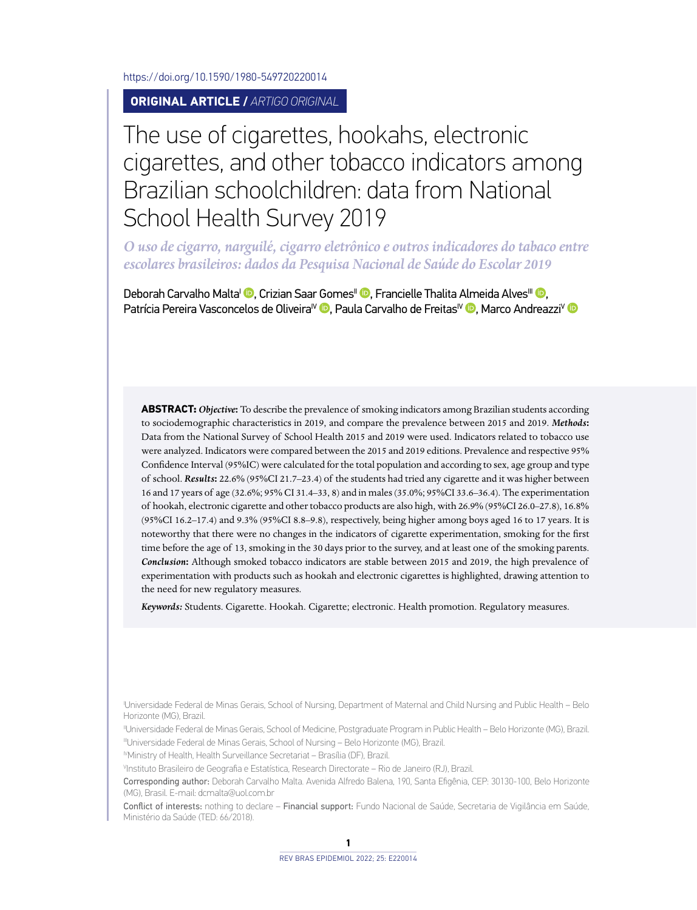<https://doi.org/10.1590/1980-549720220014>

**ORIGINAL ARTICLE /** *ARTIGO ORIGINAL*

# The use of cigarettes, hookahs, electronic cigarettes, and other tobacco indicators among Brazilian schoolchildren: data from National School Health Survey 2019

*O uso de cigarro, narguilé, cigarro eletrônico e outros indicadores do tabaco entre escolares brasileiros: dados da Pesquisa Nacional de Saúde do Escolar 2019*

Deborah Carvalho Malta<sup>i (D</sup>[,](http://orcid.org/0000-0001-6586-4561) Crizian Saar Gomes<sup>II</sup> <sup>(D</sup>)[,](http://orcid.org/0000-0001-8886-8514) Francielle Thalita Almeida Alves<sup>III</sup> <sup>(D</sup>), Patrícia Pereira Vasconcelos de Oliveira<sup>IV</sup> D[,](http://orcid.org/0000-0002-3737-2962) Paula Carvalho de Freitas<sup>I[V](http://orcid.org/0000-0002-5379-1200)</sup> D, Marco Andreazzi<sup>V</sup> D

**ABSTRACT:** *Objective***:** To describe the prevalence of smoking indicators among Brazilian students according to sociodemographic characteristics in 2019, and compare the prevalence between 2015 and 2019. *Methods***:** Data from the National Survey of School Health 2015 and 2019 were used. Indicators related to tobacco use were analyzed. Indicators were compared between the 2015 and 2019 editions. Prevalence and respective 95% Confidence Interval (95%IC) were calculated for the total population and according to sex, age group and type of school. *Results***:** 22.6% (95%CI 21.7–23.4) of the students had tried any cigarette and it was higher between 16 and 17 years of age (32.6%; 95% CI 31.4–33, 8) and in males (35.0%; 95%CI 33.6–36.4). The experimentation of hookah, electronic cigarette and other tobacco products are also high, with 26.9% (95%CI 26.0–27.8), 16.8% (95%CI 16.2–17.4) and 9.3% (95%CI 8.8–9.8), respectively, being higher among boys aged 16 to 17 years. It is noteworthy that there were no changes in the indicators of cigarette experimentation, smoking for the first time before the age of 13, smoking in the 30 days prior to the survey, and at least one of the smoking parents. *Conclusion***:** Although smoked tobacco indicators are stable between 2015 and 2019, the high prevalence of experimentation with products such as hookah and electronic cigarettes is highlighted, drawing attention to the need for new regulatory measures.

*Keywords:* Students. Cigarette. Hookah. Cigarette; electronic. Health promotion. Regulatory measures.

I Universidade Federal de Minas Gerais, School of Nursing, Department of Maternal and Child Nursing and Public Health – Belo Horizonte (MG), Brazil.

IIUniversidade Federal de Minas Gerais, School of Medicine, Postgraduate Program in Public Health – Belo Horizonte (MG), Brazil. IIIUniversidade Federal de Minas Gerais, School of Nursing – Belo Horizonte (MG), Brazil.

IVMinistry of Health, Health Surveillance Secretariat – Brasília (DF), Brazil.

V Instituto Brasileiro de Geografia e Estatística, Research Directorate – Rio de Janeiro (RJ), Brazil.

Corresponding author: Deborah Carvalho Malta. Avenida Alfredo Balena, 190, Santa Efigênia, CEP: 30130-100, Belo Horizonte (MG), Brasil. E-mail: [dcmalta@uol.com.br](mailto:dcmalta@uol.com.br)

Conflict of interests: nothing to declare – Financial support: Fundo Nacional de Saúde, Secretaria de Vigilância em Saúde, Ministério da Saúde (TED: 66/2018).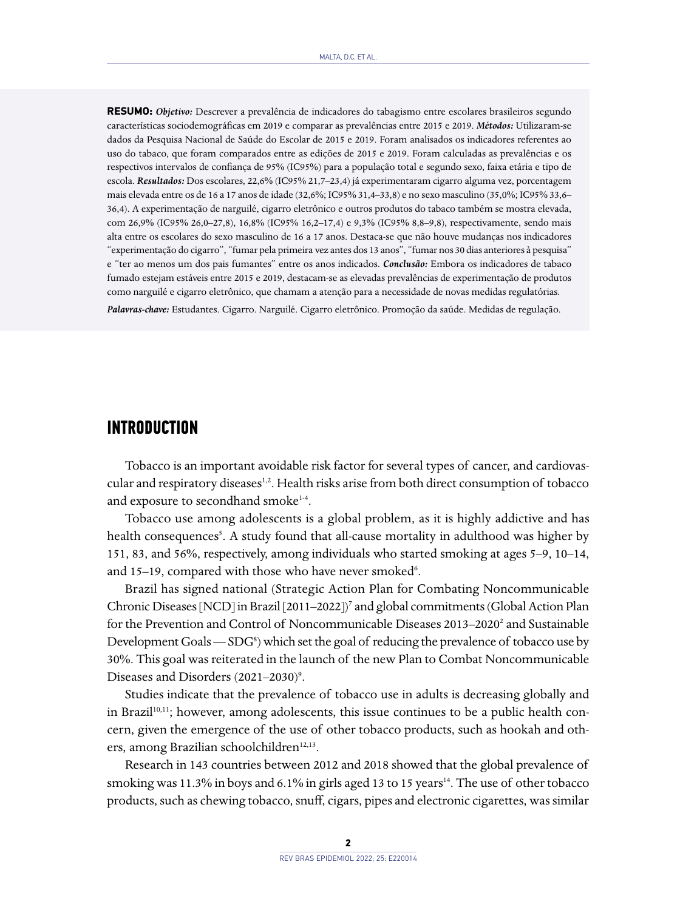**RESUMO:** *Objetivo:* Descrever a prevalência de indicadores do tabagismo entre escolares brasileiros segundo características sociodemográficas em 2019 e comparar as prevalências entre 2015 e 2019. *Métodos:* Utilizaram-se dados da Pesquisa Nacional de Saúde do Escolar de 2015 e 2019. Foram analisados os indicadores referentes ao uso do tabaco, que foram comparados entre as edições de 2015 e 2019. Foram calculadas as prevalências e os respectivos intervalos de confiança de 95% (IC95%) para a população total e segundo sexo, faixa etária e tipo de escola. *Resultados:* Dos escolares, 22,6% (IC95% 21,7–23,4) já experimentaram cigarro alguma vez, porcentagem mais elevada entre os de 16 a 17 anos de idade (32,6%; IC95% 31,4–33,8) e no sexo masculino (35,0%; IC95% 33,6– 36,4). A experimentação de narguilé, cigarro eletrônico e outros produtos do tabaco também se mostra elevada, com 26,9% (IC95% 26,0–27,8), 16,8% (IC95% 16,2–17,4) e 9,3% (IC95% 8,8–9,8), respectivamente, sendo mais alta entre os escolares do sexo masculino de 16 a 17 anos. Destaca-se que não houve mudanças nos indicadores "experimentação do cigarro", "fumar pela primeira vez antes dos 13 anos", "fumar nos 30 dias anteriores à pesquisa" e "ter ao menos um dos pais fumantes" entre os anos indicados. *Conclusão:* Embora os indicadores de tabaco fumado estejam estáveis entre 2015 e 2019, destacam-se as elevadas prevalências de experimentação de produtos como narguilé e cigarro eletrônico, que chamam a atenção para a necessidade de novas medidas regulatórias.

*Palavras-chave:* Estudantes. Cigarro. Narguilé. Cigarro eletrônico. Promoção da saúde. Medidas de regulação.

#### **INTRODUCTION**

Tobacco is an important avoidable risk factor for several types of cancer, and cardiovascular and respiratory diseases<sup>1,2</sup>. Health risks arise from both direct consumption of tobacco and exposure to secondhand smoke<sup>1-4</sup>.

Tobacco use among adolescents is a global problem, as it is highly addictive and has health consequences<sup>5</sup>. A study found that all-cause mortality in adulthood was higher by 151, 83, and 56%, respectively, among individuals who started smoking at ages 5–9, 10–14, and 15-19, compared with those who have never smoked<sup>6</sup>.

Brazil has signed national (Strategic Action Plan for Combating Noncommunicable Chronic Diseases [NCD] in Brazil [2011-2022])<sup>7</sup> and global commitments (Global Action Plan for the Prevention and Control of Noncommunicable Diseases 2013–2020<sup>2</sup> and Sustainable Development Goals - SDG<sup>8</sup>) which set the goal of reducing the prevalence of tobacco use by 30%. This goal was reiterated in the launch of the new Plan to Combat Noncommunicable Diseases and Disorders (2021-2030)<sup>9</sup>.

Studies indicate that the prevalence of tobacco use in adults is decreasing globally and in Brazil<sup>10,11</sup>; however, among adolescents, this issue continues to be a public health concern, given the emergence of the use of other tobacco products, such as hookah and others, among Brazilian schoolchildren<sup>12,13</sup>.

Research in 143 countries between 2012 and 2018 showed that the global prevalence of smoking was 11.3% in boys and 6.1% in girls aged 13 to 15 years<sup>14</sup>. The use of other tobacco products, such as chewing tobacco, snuff, cigars, pipes and electronic cigarettes, was similar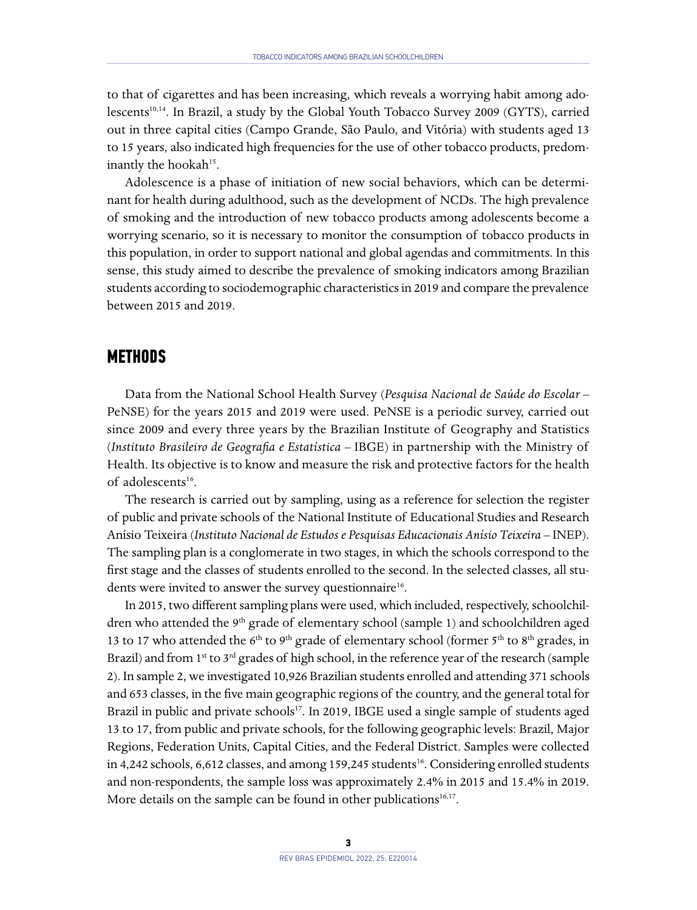to that of cigarettes and has been increasing, which reveals a worrying habit among adolescents<sup>10,14</sup>. In Brazil, a study by the Global Youth Tobacco Survey 2009 (GYTS), carried out in three capital cities (Campo Grande, São Paulo, and Vitória) with students aged 13 to 15 years, also indicated high frequencies for the use of other tobacco products, predominantly the hookah<sup>15</sup>.

Adolescence is a phase of initiation of new social behaviors, which can be determinant for health during adulthood, such as the development of NCDs. The high prevalence of smoking and the introduction of new tobacco products among adolescents become a worrying scenario, so it is necessary to monitor the consumption of tobacco products in this population, in order to support national and global agendas and commitments. In this sense, this study aimed to describe the prevalence of smoking indicators among Brazilian students according to sociodemographic characteristics in 2019 and compare the prevalence between 2015 and 2019.

#### **METHODS**

Data from the National School Health Survey (*Pesquisa Nacional de Saúde do Escolar* – PeNSE) for the years 2015 and 2019 were used. PeNSE is a periodic survey, carried out since 2009 and every three years by the Brazilian Institute of Geography and Statistics (*Instituto Brasileiro de Geografia e Estatística –* IBGE) in partnership with the Ministry of Health. Its objective is to know and measure the risk and protective factors for the health of adolescents $^{16}$ .

The research is carried out by sampling, using as a reference for selection the register of public and private schools of the National Institute of Educational Studies and Research Anísio Teixeira (*Instituto Nacional de Estudos e Pesquisas Educacionais Anísio Teixeira –* INEP). The sampling plan is a conglomerate in two stages, in which the schools correspond to the first stage and the classes of students enrolled to the second. In the selected classes, all students were invited to answer the survey questionnaire<sup>16</sup>.

In 2015, two different sampling plans were used, which included, respectively, schoolchildren who attended the  $9<sup>th</sup>$  grade of elementary school (sample 1) and schoolchildren aged 13 to 17 who attended the 6<sup>th</sup> to 9<sup>th</sup> grade of elementary school (former 5<sup>th</sup> to 8<sup>th</sup> grades, in Brazil) and from  $1^{st}$  to  $3^{rd}$  grades of high school, in the reference year of the research (sample 2). In sample 2, we investigated 10,926 Brazilian students enrolled and attending 371 schools and 653 classes, in the five main geographic regions of the country, and the general total for Brazil in public and private schools<sup>17</sup>. In 2019, IBGE used a single sample of students aged 13 to 17, from public and private schools, for the following geographic levels: Brazil, Major Regions, Federation Units, Capital Cities, and the Federal District. Samples were collected in 4,242 schools, 6,612 classes, and among 159,245 students<sup>16</sup>. Considering enrolled students and non-respondents, the sample loss was approximately 2.4% in 2015 and 15.4% in 2019. More details on the sample can be found in other publications<sup>16,17</sup>.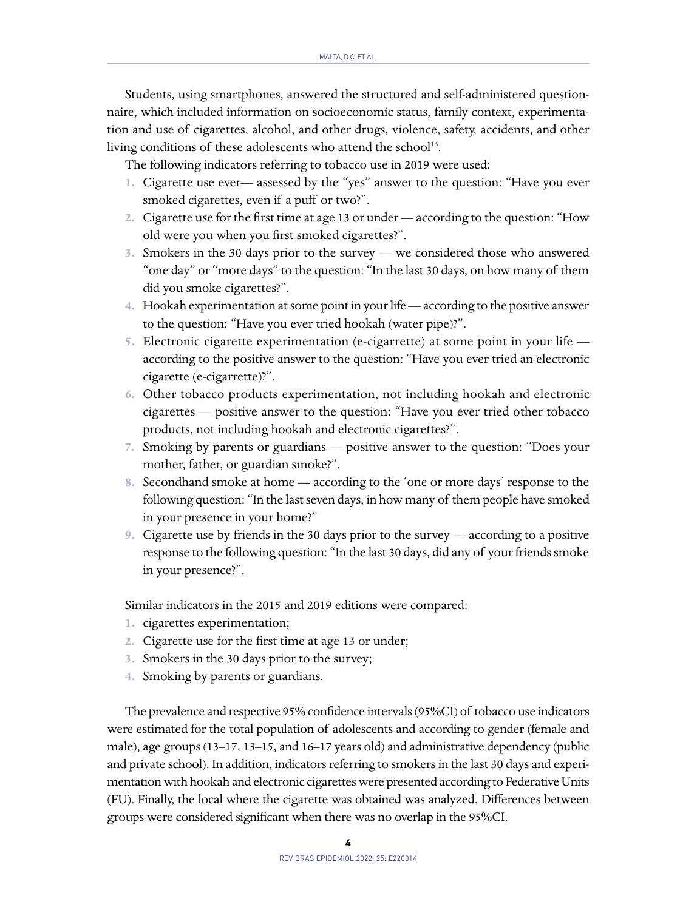Students, using smartphones, answered the structured and self-administered questionnaire, which included information on socioeconomic status, family context, experimentation and use of cigarettes, alcohol, and other drugs, violence, safety, accidents, and other living conditions of these adolescents who attend the school<sup>16</sup>.

The following indicators referring to tobacco use in 2019 were used:

- **1.** Cigarette use ever— assessed by the "yes" answer to the question: "Have you ever smoked cigarettes, even if a puff or two?".
- **2.** Cigarette use for the first time at age 13 or under according to the question: "How old were you when you first smoked cigarettes?".
- **3.** Smokers in the 30 days prior to the survey we considered those who answered "one day" or "more days" to the question: "In the last 30 days, on how many of them did you smoke cigarettes?".
- **4.** Hookah experimentation at some point in your life according to the positive answer to the question: "Have you ever tried hookah (water pipe)?".
- **5.** Electronic cigarette experimentation (e-cigarrette) at some point in your life according to the positive answer to the question: "Have you ever tried an electronic cigarette (e-cigarrette)?".
- **6.** Other tobacco products experimentation, not including hookah and electronic cigarettes — positive answer to the question: "Have you ever tried other tobacco products, not including hookah and electronic cigarettes?".
- **7.** Smoking by parents or guardians positive answer to the question: "Does your mother, father, or guardian smoke?".
- **8.** Secondhand smoke at home according to the 'one or more days' response to the following question: "In the last seven days, in how many of them people have smoked in your presence in your home?"
- **9.** Cigarette use by friends in the 30 days prior to the survey according to a positive response to the following question: "In the last 30 days, did any of your friends smoke in your presence?".

Similar indicators in the 2015 and 2019 editions were compared:

- **1.** cigarettes experimentation;
- **2.** Cigarette use for the first time at age 13 or under;
- **3.** Smokers in the 30 days prior to the survey;
- **4.** Smoking by parents or guardians.

The prevalence and respective 95% confidence intervals (95%CI) of tobacco use indicators were estimated for the total population of adolescents and according to gender (female and male), age groups (13–17, 13–15, and 16–17 years old) and administrative dependency (public and private school). In addition, indicators referring to smokers in the last 30 days and experimentation with hookah and electronic cigarettes were presented according to Federative Units (FU). Finally, the local where the cigarette was obtained was analyzed. Differences between groups were considered significant when there was no overlap in the 95%CI.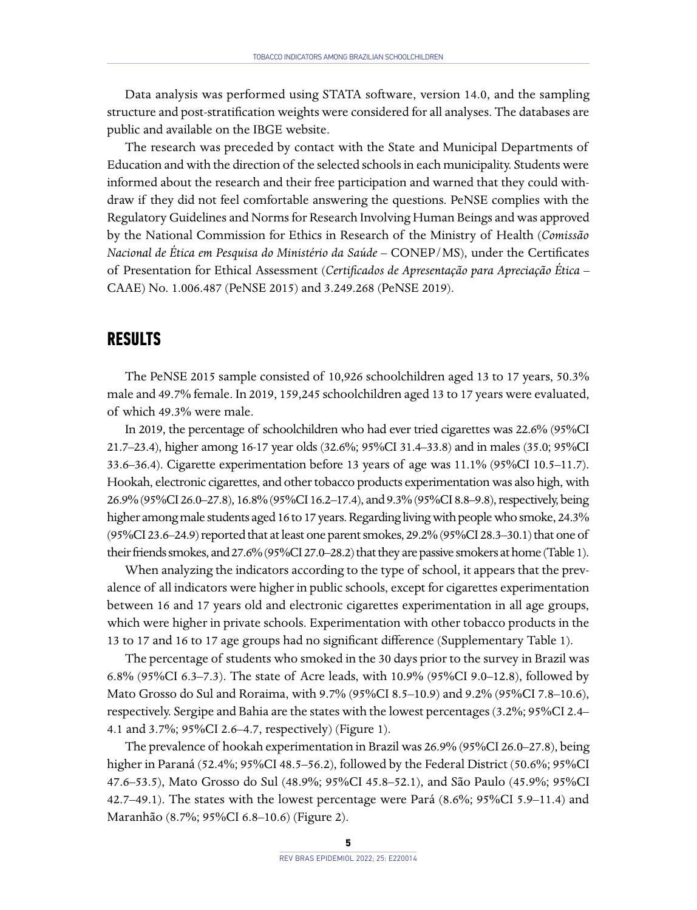Data analysis was performed using STATA software, version 14.0, and the sampling structure and post-stratification weights were considered for all analyses. The databases are public and available on the IBGE website.

The research was preceded by contact with the State and Municipal Departments of Education and with the direction of the selected schools in each municipality. Students were informed about the research and their free participation and warned that they could withdraw if they did not feel comfortable answering the questions. PeNSE complies with the Regulatory Guidelines and Norms for Research Involving Human Beings and was approved by the National Commission for Ethics in Research of the Ministry of Health (*Comissão Nacional de Ética em Pesquisa do Ministério da Saúde* – CONEP/MS), under the Certificates of Presentation for Ethical Assessment (*Certificados de Apresentação para Apreciação Ética –*  CAAE) No. 1.006.487 (PeNSE 2015) and 3.249.268 (PeNSE 2019).

#### **RESULTS**

The PeNSE 2015 sample consisted of 10,926 schoolchildren aged 13 to 17 years, 50.3% male and 49.7% female. In 2019, 159,245 schoolchildren aged 13 to 17 years were evaluated, of which 49.3% were male.

In 2019, the percentage of schoolchildren who had ever tried cigarettes was 22.6% (95%CI 21.7–23.4), higher among 16-17 year olds (32.6%; 95%CI 31.4–33.8) and in males (35.0; 95%CI 33.6–36.4). Cigarette experimentation before 13 years of age was 11.1% (95%CI 10.5–11.7). Hookah, electronic cigarettes, and other tobacco products experimentation was also high, with 26.9% (95%CI 26.0–27.8), 16.8% (95%CI 16.2–17.4), and 9.3% (95%CI 8.8–9.8), respectively, being higher among male students aged 16 to 17 years. Regarding living with people who smoke, 24.3% (95%CI 23.6–24.9) reported that at least one parent smokes, 29.2% (95%CI 28.3–30.1) that one of their friends smokes, and 27.6% (95%CI 27.0–28.2) that they are passive smokers at home (Table 1).

When analyzing the indicators according to the type of school, it appears that the prevalence of all indicators were higher in public schools, except for cigarettes experimentation between 16 and 17 years old and electronic cigarettes experimentation in all age groups, which were higher in private schools. Experimentation with other tobacco products in the 13 to 17 and 16 to 17 age groups had no significant difference (Supplementary Table 1).

The percentage of students who smoked in the 30 days prior to the survey in Brazil was 6.8% (95%CI 6.3–7.3). The state of Acre leads, with 10.9% (95%CI 9.0–12.8), followed by Mato Grosso do Sul and Roraima, with 9.7% (95%CI 8.5–10.9) and 9.2% (95%CI 7.8–10.6), respectively. Sergipe and Bahia are the states with the lowest percentages (3.2%; 95%CI 2.4– 4.1 and 3.7%; 95%CI 2.6–4.7, respectively) (Figure 1).

The prevalence of hookah experimentation in Brazil was 26.9% (95%CI 26.0–27.8), being higher in Paraná (52.4%; 95%CI 48.5–56.2), followed by the Federal District (50.6%; 95%CI 47.6–53.5), Mato Grosso do Sul (48.9%; 95%CI 45.8–52.1), and São Paulo (45.9%; 95%CI 42.7–49.1). The states with the lowest percentage were Pará (8.6%; 95%CI 5.9–11.4) and Maranhão (8.7%; 95%CI 6.8–10.6) (Figure 2).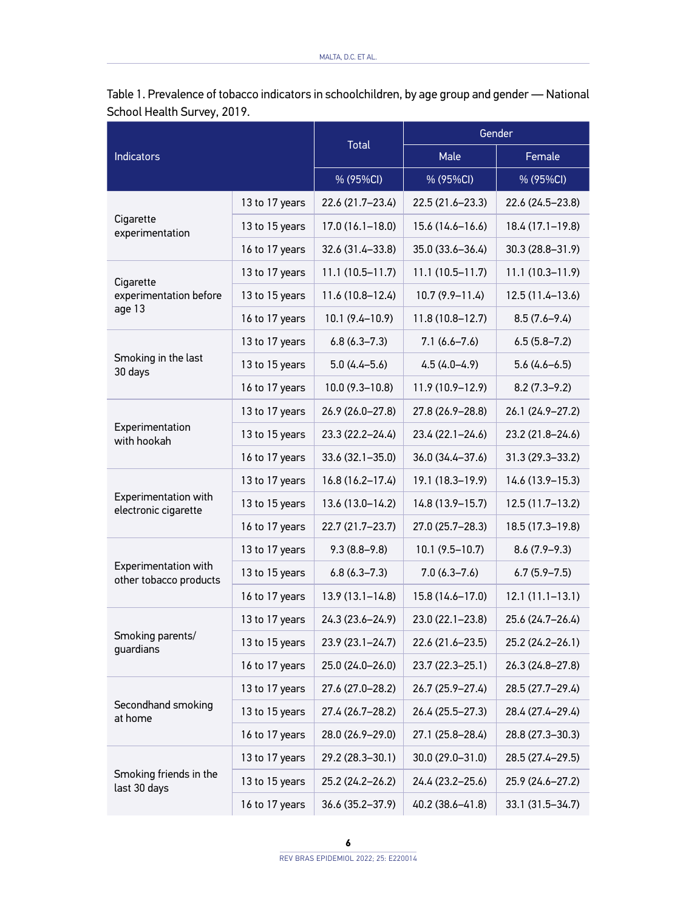| <b>Indicators</b>                              |                | <b>Total</b>        | Gender              |                   |
|------------------------------------------------|----------------|---------------------|---------------------|-------------------|
|                                                |                |                     | Male                | Female            |
|                                                |                | % (95%CI)           | % (95%CI)           | % (95%CI)         |
| Cigarette<br>experimentation                   | 13 to 17 years | 22.6 (21.7-23.4)    | 22.5 (21.6-23.3)    | 22.6 (24.5-23.8)  |
|                                                | 13 to 15 years | $17.0(16.1 - 18.0)$ | $15.6(14.6 - 16.6)$ | 18.4 (17.1–19.8)  |
|                                                | 16 to 17 years | 32.6 (31.4-33.8)    | 35.0 (33.6-36.4)    | 30.3 (28.8-31.9)  |
| Cigarette<br>experimentation before<br>age 13  | 13 to 17 years | $11.1(10.5-11.7)$   | $11.1(10.5-11.7)$   | $11.1(10.3-11.9)$ |
|                                                | 13 to 15 years | 11.6 (10.8-12.4)    | $10.7(9.9 - 11.4)$  | 12.5 (11.4-13.6)  |
|                                                | 16 to 17 years | $10.1(9.4 - 10.9)$  | $11.8(10.8 - 12.7)$ | $8.5(7.6 - 9.4)$  |
| Smoking in the last<br>30 days                 | 13 to 17 years | $6.8(6.3 - 7.3)$    | $7.1(6.6 - 7.6)$    | $6.5(5.8-7.2)$    |
|                                                | 13 to 15 years | $5.0(4.4 - 5.6)$    | $4.5(4.0-4.9)$      | $5.6(4.6 - 6.5)$  |
|                                                | 16 to 17 years | $10.0(9.3 - 10.8)$  | 11.9 (10.9-12.9)    | $8.2(7.3-9.2)$    |
| Experimentation<br>with hookah                 | 13 to 17 years | 26.9 (26.0-27.8)    | 27.8 (26.9-28.8)    | 26.1 (24.9-27.2)  |
|                                                | 13 to 15 years | 23.3 (22.2-24.4)    | 23.4 (22.1–24.6)    | 23.2 (21.8-24.6)  |
|                                                | 16 to 17 years | $33.6(32.1 - 35.0)$ | 36.0 (34.4-37.6)    | 31.3 (29.3-33.2)  |
| Experimentation with<br>electronic cigarette   | 13 to 17 years | $16.8(16.2 - 17.4)$ | 19.1 (18.3-19.9)    | 14.6 (13.9–15.3)  |
|                                                | 13 to 15 years | $13.6(13.0 - 14.2)$ | 14.8 (13.9-15.7)    | 12.5 (11.7-13.2)  |
|                                                | 16 to 17 years | 22.7 (21.7–23.7)    | 27.0 (25.7-28.3)    | 18.5 (17.3–19.8)  |
| Experimentation with<br>other tobacco products | 13 to 17 years | $9.3(8.8-9.8)$      | $10.1(9.5-10.7)$    | $8.6(7.9-9.3)$    |
|                                                | 13 to 15 years | $6.8(6.3 - 7.3)$    | $7.0(6.3 - 7.6)$    | $6.7(5.9 - 7.5)$  |
|                                                | 16 to 17 years | $13.9(13.1 - 14.8)$ | 15.8 (14.6-17.0)    | $12.1(11.1-13.1)$ |
| Smoking parents/<br>guardians                  | 13 to 17 years | 24.3 (23.6-24.9)    | 23.0 (22.1-23.8)    | 25.6 (24.7-26.4)  |
|                                                | 13 to 15 years | 23.9 (23.1-24.7)    | 22.6 (21.6–23.5)    | 25.2 (24.2-26.1)  |
|                                                | 16 to 17 years | 25.0 (24.0-26.0)    | 23.7 (22.3-25.1)    | 26.3 (24.8-27.8)  |
| Secondhand smoking<br>at home                  | 13 to 17 years | 27.6 (27.0–28.2)    | 26.7 (25.9-27.4)    | 28.5 (27.7–29.4)  |
|                                                | 13 to 15 years | 27.4 (26.7–28.2)    | 26.4 (25.5-27.3)    | 28.4 (27.4–29.4)  |
|                                                | 16 to 17 years | 28.0 (26.9-29.0)    | 27.1 (25.8–28.4)    | 28.8 (27.3-30.3)  |
| Smoking friends in the<br>last 30 days         | 13 to 17 years | 29.2 (28.3–30.1)    | 30.0 (29.0-31.0)    | 28.5 (27.4–29.5)  |
|                                                | 13 to 15 years | 25.2 (24.2-26.2)    | 24.4 (23.2-25.6)    | 25.9 (24.6–27.2)  |
|                                                | 16 to 17 years | $36.6(35.2 - 37.9)$ | 40.2 (38.6–41.8)    | 33.1 (31.5-34.7)  |

Table 1. Prevalence of tobacco indicators in schoolchildren, by age group and gender — National School Health Survey, 2019.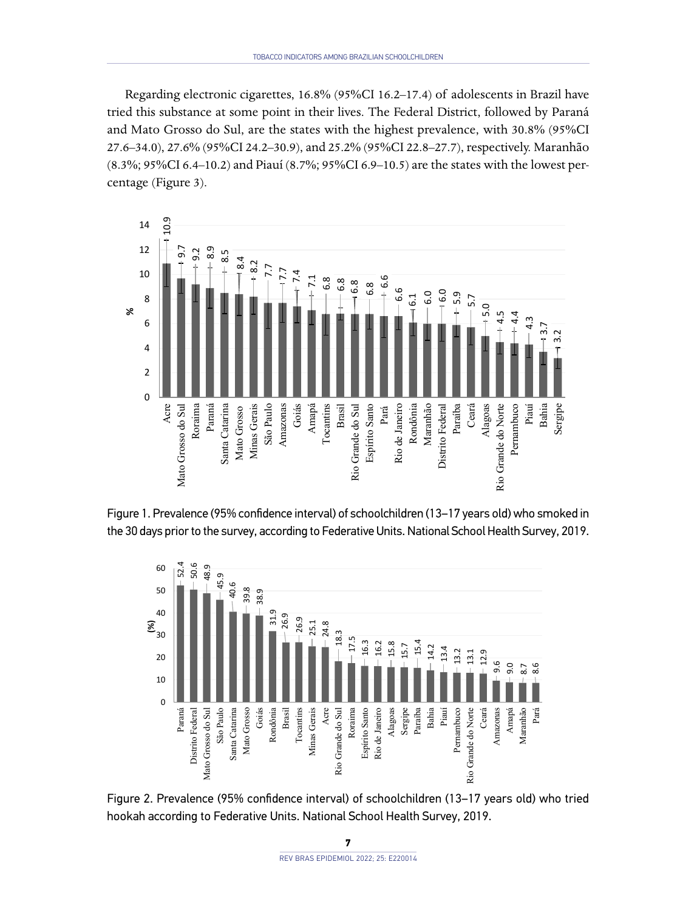Regarding electronic cigarettes, 16.8% (95%CI 16.2–17.4) of adolescents in Brazil have tried this substance at some point in their lives. The Federal District, followed by Paraná and Mato Grosso do Sul, are the states with the highest prevalence, with 30.8% (95%CI 27.6–34.0), 27.6% (95%CI 24.2–30.9), and 25.2% (95%CI 22.8–27.7), respectively. Maranhão (8.3%; 95%CI 6.4–10.2) and Piauí (8.7%; 95%CI 6.9–10.5) are the states with the lowest percentage (Figure 3).







Figure 2. Prevalence (95% confidence interval) of schoolchildren (13–17 years old) who tried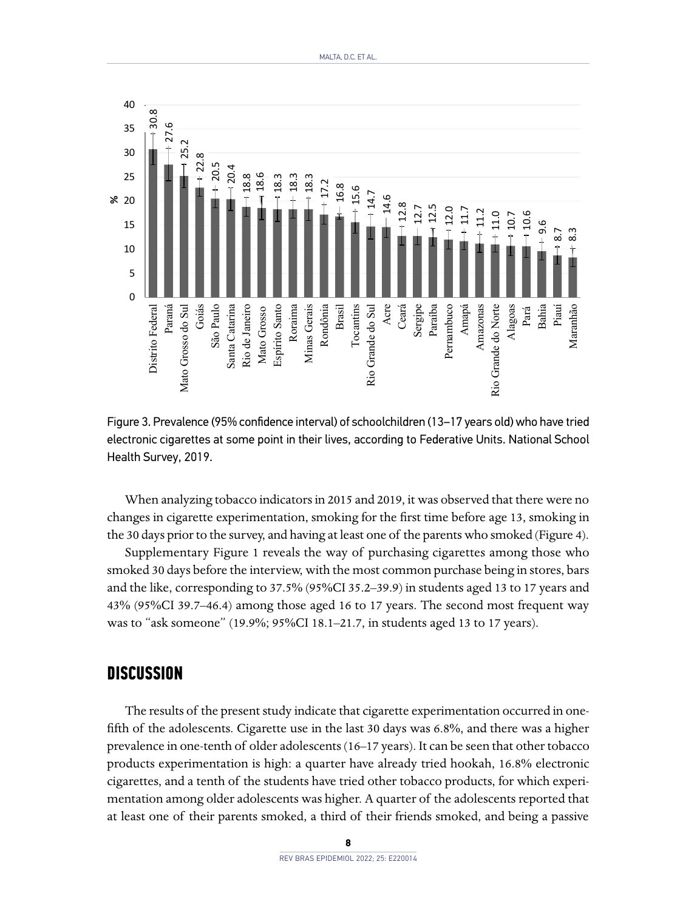

Figure 3. Prevalence (95% confidence interval) of schoolchildren (13–17 years old) who have tried electronic cigarettes at some point in their lives, according to Federative Units. National School

When analyzing tobacco indicators in 2015 and 2019, it was observed that there were no changes in cigarette experimentation, smoking for the first time before age 13, smoking in the 30 days prior to the survey, and having at least one of the parents who smoked (Figure 4).

Supplementary Figure 1 reveals the way of purchasing cigarettes among those who smoked 30 days before the interview, with the most common purchase being in stores, bars and the like, corresponding to 37.5% (95%CI 35.2–39.9) in students aged 13 to 17 years and 43% (95%CI 39.7–46.4) among those aged 16 to 17 years. The second most frequent way was to "ask someone" (19.9%; 95%CI 18.1–21.7, in students aged 13 to 17 years).

#### **DISCUSSION**

The results of the present study indicate that cigarette experimentation occurred in onefifth of the adolescents. Cigarette use in the last 30 days was 6.8%, and there was a higher prevalence in one-tenth of older adolescents (16–17 years). It can be seen that other tobacco products experimentation is high: a quarter have already tried hookah, 16.8% electronic cigarettes, and a tenth of the students have tried other tobacco products, for which experimentation among older adolescents was higher. A quarter of the adolescents reported that at least one of their parents smoked, a third of their friends smoked, and being a passive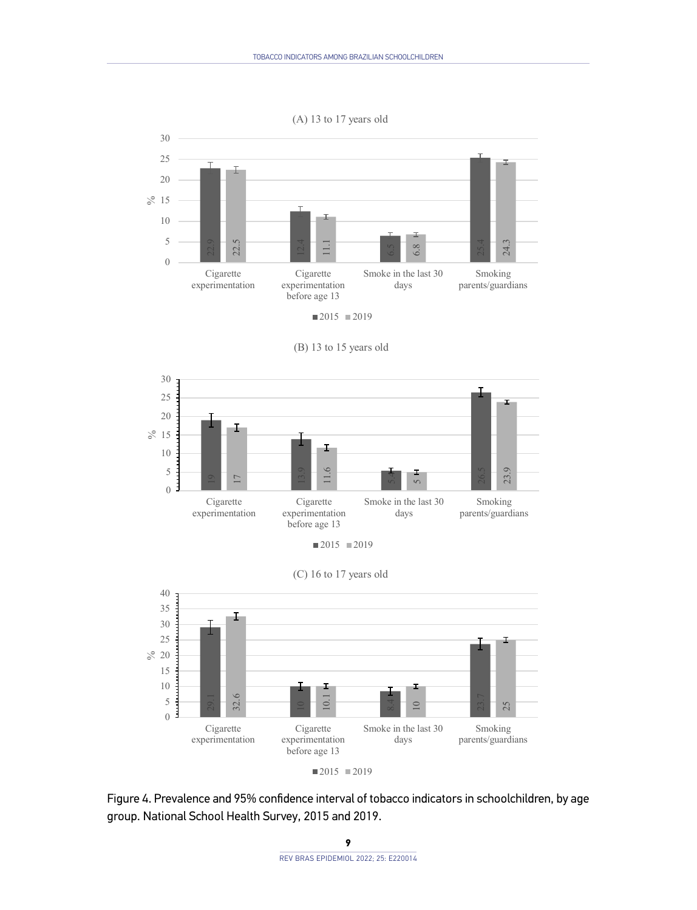#### (A) 13 to 17 years old



 $2015$  2019



Smoke in the last 30 days

Smoking parents/guardians

Cigarette experimentation before age 13

Cigarette experimentation

(B) 13 to 15 years old



 $2015 = 2019$ 

Figure 4. Prevalence and 95% confidence interval of tobacco indicators in schoolchildren, by age

#### **9**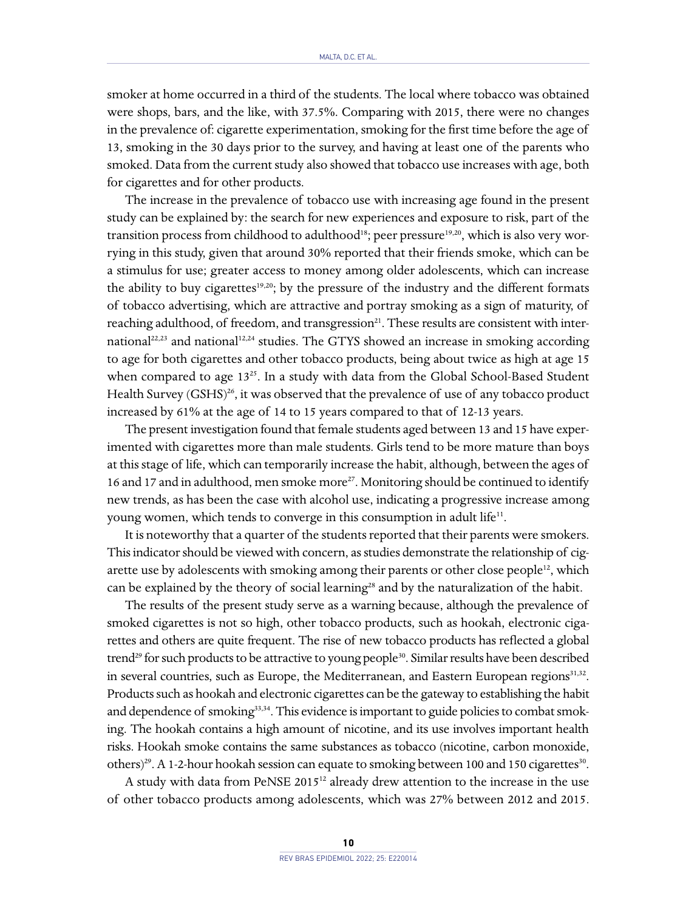smoker at home occurred in a third of the students. The local where tobacco was obtained were shops, bars, and the like, with 37.5%. Comparing with 2015, there were no changes in the prevalence of: cigarette experimentation, smoking for the first time before the age of 13, smoking in the 30 days prior to the survey, and having at least one of the parents who smoked. Data from the current study also showed that tobacco use increases with age, both for cigarettes and for other products.

The increase in the prevalence of tobacco use with increasing age found in the present study can be explained by: the search for new experiences and exposure to risk, part of the transition process from childhood to adulthood<sup>18</sup>; peer pressure<sup>19,20</sup>, which is also very worrying in this study, given that around 30% reported that their friends smoke, which can be a stimulus for use; greater access to money among older adolescents, which can increase the ability to buy cigarettes<sup>19,20</sup>; by the pressure of the industry and the different formats of tobacco advertising, which are attractive and portray smoking as a sign of maturity, of reaching adulthood, of freedom, and transgression<sup>21</sup>. These results are consistent with international<sup>22,23</sup> and national<sup>12,24</sup> studies. The GTYS showed an increase in smoking according to age for both cigarettes and other tobacco products, being about twice as high at age 15 when compared to age  $13^{25}$ . In a study with data from the Global School-Based Student Health Survey  $(GSHS)^{26}$ , it was observed that the prevalence of use of any tobacco product increased by 61% at the age of 14 to 15 years compared to that of 12-13 years.

The present investigation found that female students aged between 13 and 15 have experimented with cigarettes more than male students. Girls tend to be more mature than boys at this stage of life, which can temporarily increase the habit, although, between the ages of 16 and 17 and in adulthood, men smoke more<sup>27</sup>. Monitoring should be continued to identify new trends, as has been the case with alcohol use, indicating a progressive increase among young women, which tends to converge in this consumption in adult life<sup>11</sup>.

It is noteworthy that a quarter of the students reported that their parents were smokers. This indicator should be viewed with concern, as studies demonstrate the relationship of cigarette use by adolescents with smoking among their parents or other close people $12$ , which can be explained by the theory of social learning<sup>28</sup> and by the naturalization of the habit.

The results of the present study serve as a warning because, although the prevalence of smoked cigarettes is not so high, other tobacco products, such as hookah, electronic cigarettes and others are quite frequent. The rise of new tobacco products has reflected a global trend<sup>29</sup> for such products to be attractive to young people<sup>30</sup>. Similar results have been described in several countries, such as Europe, the Mediterranean, and Eastern European regions $31.32$ . Products such as hookah and electronic cigarettes can be the gateway to establishing the habit and dependence of smoking<sup>33,34</sup>. This evidence is important to guide policies to combat smoking. The hookah contains a high amount of nicotine, and its use involves important health risks. Hookah smoke contains the same substances as tobacco (nicotine, carbon monoxide, others)<sup>29</sup>. A 1-2-hour hookah session can equate to smoking between 100 and 150 cigarettes<sup>30</sup>.

A study with data from PeNSE 201512 already drew attention to the increase in the use of other tobacco products among adolescents, which was 27% between 2012 and 2015.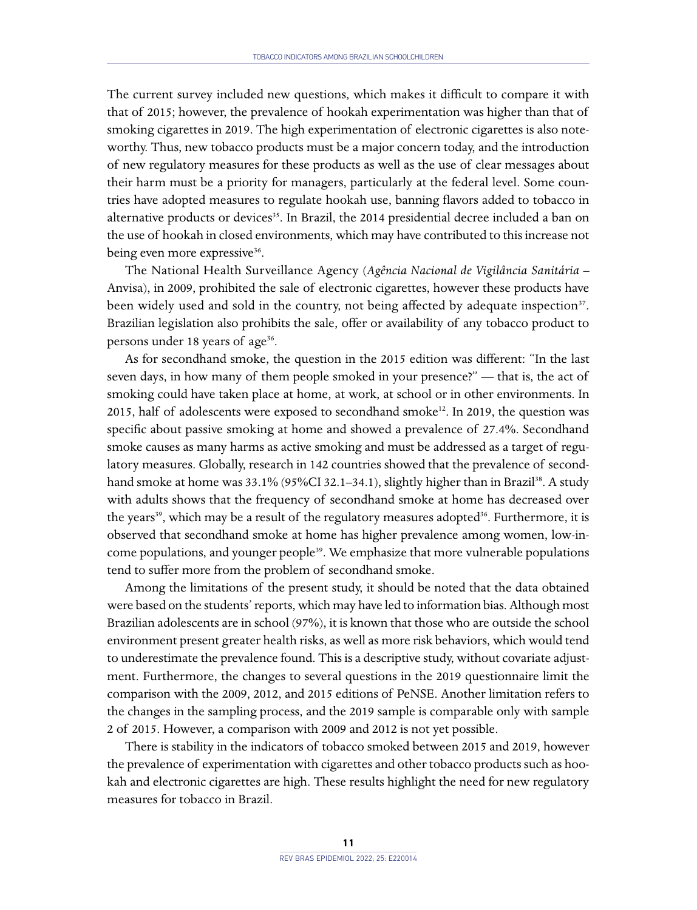The current survey included new questions, which makes it difficult to compare it with that of 2015; however, the prevalence of hookah experimentation was higher than that of smoking cigarettes in 2019. The high experimentation of electronic cigarettes is also noteworthy. Thus, new tobacco products must be a major concern today, and the introduction of new regulatory measures for these products as well as the use of clear messages about their harm must be a priority for managers, particularly at the federal level. Some countries have adopted measures to regulate hookah use, banning flavors added to tobacco in alternative products or devices<sup>35</sup>. In Brazil, the 2014 presidential decree included a ban on the use of hookah in closed environments, which may have contributed to this increase not being even more expressive<sup>36</sup>.

The National Health Surveillance Agency (*Agência Nacional de Vigilância Sanitária* – Anvisa), in 2009, prohibited the sale of electronic cigarettes, however these products have been widely used and sold in the country, not being affected by adequate inspection<sup>37</sup>. Brazilian legislation also prohibits the sale, offer or availability of any tobacco product to persons under 18 years of age<sup>36</sup>.

As for secondhand smoke, the question in the 2015 edition was different: "In the last seven days, in how many of them people smoked in your presence?" — that is, the act of smoking could have taken place at home, at work, at school or in other environments. In 2015, half of adolescents were exposed to secondhand smoke<sup>12</sup>. In 2019, the question was specific about passive smoking at home and showed a prevalence of 27.4%. Secondhand smoke causes as many harms as active smoking and must be addressed as a target of regulatory measures. Globally, research in 142 countries showed that the prevalence of secondhand smoke at home was 33.1% (95%CI 32.1-34.1), slightly higher than in Brazil<sup>38</sup>. A study with adults shows that the frequency of secondhand smoke at home has decreased over the years<sup>39</sup>, which may be a result of the regulatory measures adopted<sup>36</sup>. Furthermore, it is observed that secondhand smoke at home has higher prevalence among women, low-income populations, and younger people<sup>39</sup>. We emphasize that more vulnerable populations tend to suffer more from the problem of secondhand smoke.

Among the limitations of the present study, it should be noted that the data obtained were based on the students' reports, which may have led to information bias. Although most Brazilian adolescents are in school (97%), it is known that those who are outside the school environment present greater health risks, as well as more risk behaviors, which would tend to underestimate the prevalence found. This is a descriptive study, without covariate adjustment. Furthermore, the changes to several questions in the 2019 questionnaire limit the comparison with the 2009, 2012, and 2015 editions of PeNSE. Another limitation refers to the changes in the sampling process, and the 2019 sample is comparable only with sample 2 of 2015. However, a comparison with 2009 and 2012 is not yet possible.

There is stability in the indicators of tobacco smoked between 2015 and 2019, however the prevalence of experimentation with cigarettes and other tobacco products such as hookah and electronic cigarettes are high. These results highlight the need for new regulatory measures for tobacco in Brazil.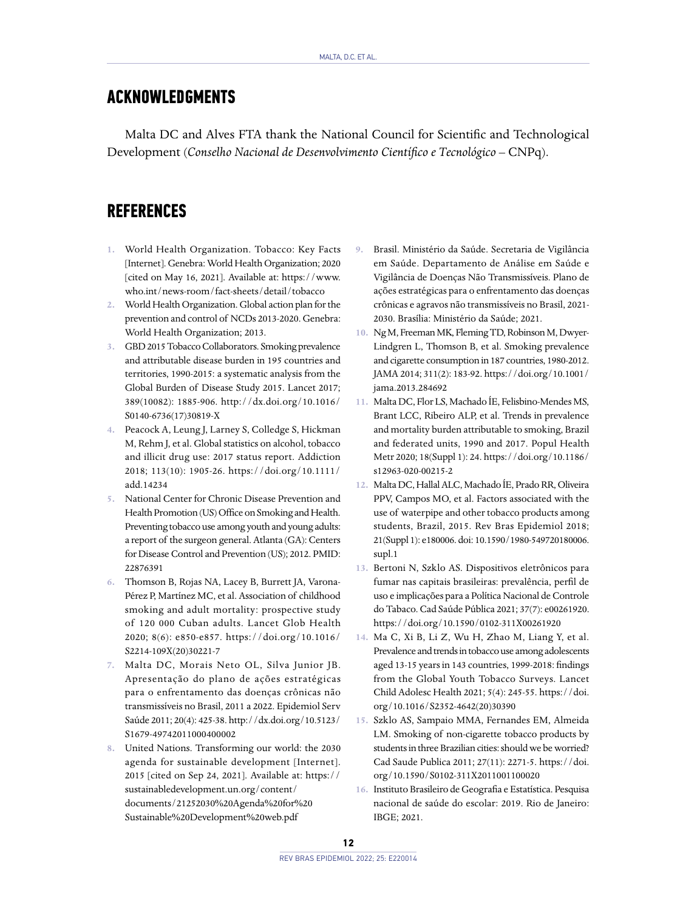### **ACKNOWLEDGMENTS**

Malta DC and Alves FTA thank the National Council for Scientific and Technological Development (*Conselho Nacional de Desenvolvimento Científico e Tecnológico* – CNPq).

## **REFERENCES**

- **1.** World Health Organization. Tobacco: Key Facts [Internet]. Genebra: World Health Organization; 2020 [cited on May 16, 2021]. Available at: [https://www.](https://www.who.int/news-room/fact-sheets/detail/tobacco) [who.int/news-room/fact-sheets/detail/tobacco](https://www.who.int/news-room/fact-sheets/detail/tobacco)
- **2.** World Health Organization. Global action plan for the prevention and control of NCDs 2013-2020. Genebra: World Health Organization; 2013.
- **3.** GBD 2015 Tobacco Collaborators. Smoking prevalence and attributable disease burden in 195 countries and territories, 1990-2015: a systematic analysis from the Global Burden of Disease Study 2015. Lancet 2017; 389(10082): 1885-906. <http://dx.doi.org/10.1016/> S0140-6736(17)30819-X
- **4.** Peacock A, Leung J, Larney S, Colledge S, Hickman M, Rehm J, et al. Global statistics on alcohol, tobacco and illicit drug use: 2017 status report. Addiction 2018; 113(10): 1905-26. [https://doi.org/10.1111/](https://doi.org/10.1111/add.14234) [add.14234](https://doi.org/10.1111/add.14234)
- **5.** National Center for Chronic Disease Prevention and Health Promotion (US) Office on Smoking and Health. Preventing tobacco use among youth and young adults: a report of the surgeon general. Atlanta (GA): Centers for Disease Control and Prevention (US); 2012. PMID: 22876391
- **6.** Thomson B, Rojas NA, Lacey B, Burrett JA, Varona-Pérez P, Martínez MC, et al. Association of childhood smoking and adult mortality: prospective study of 120 000 Cuban adults. Lancet Glob Health 2020; 8(6): e850-e857. [https://doi.org/10.1016/](https://doi.org/10.1016/S2214-109X(20)30221-7) [S2214-109X\(20\)30221-7](https://doi.org/10.1016/S2214-109X(20)30221-7)
- **7.** Malta DC, Morais Neto OL, Silva Junior JB. Apresentação do plano de ações estratégicas para o enfrentamento das doenças crônicas não transmissíveis no Brasil, 2011 a 2022. Epidemiol Serv Saúde 2011; 20(4): 425-38. [http://dx.doi.org/10.5123/](http://dx.doi.org/10.5123/S1679-49742011000400002) [S1679-49742011000400002](http://dx.doi.org/10.5123/S1679-49742011000400002)
- **8.** United Nations. Transforming our world: the 2030 agenda for sustainable development [Internet]. 2015 [cited on Sep 24, 2021]. Available at: [https://](https://sustainabledevelopment.un.org/content/documents/21252030%20Agenda%20for%20Sustainable%20Development%20web.pdf) [sustainabledevelopment.un.org/content/](https://sustainabledevelopment.un.org/content/documents/21252030%20Agenda%20for%20Sustainable%20Development%20web.pdf) [documents/21252030%20Agenda%20for%20](https://sustainabledevelopment.un.org/content/documents/21252030%20Agenda%20for%20Sustainable%20Development%20web.pdf) [Sustainable%20Development%20web.pdf](https://sustainabledevelopment.un.org/content/documents/21252030%20Agenda%20for%20Sustainable%20Development%20web.pdf)
- **9.** Brasil. Ministério da Saúde. Secretaria de Vigilância em Saúde. Departamento de Análise em Saúde e Vigilância de Doenças Não Transmissíveis. Plano de ações estratégicas para o enfrentamento das doenças crônicas e agravos não transmissíveis no Brasil, 2021- 2030. Brasília: Ministério da Saúde; 2021.
- **10.** Ng M, Freeman MK, Fleming TD, Robinson M, Dwyer-Lindgren L, Thomson B, et al. Smoking prevalence and cigarette consumption in 187 countries, 1980-2012. JAMA 2014; 311(2): 183-92. [https://doi.org/10.1001/](https://doi.org/10.1001/jama.2013.284692) [jama.2013.284692](https://doi.org/10.1001/jama.2013.284692)
- **11.** Malta DC, Flor LS, Machado ÍE, Felisbino-Mendes MS, Brant LCC, Ribeiro ALP, et al. Trends in prevalence and mortality burden attributable to smoking, Brazil and federated units, 1990 and 2017. Popul Health Metr 2020; 18(Suppl 1): 24. [https://doi.org/10.1186/](https://doi.org/10.1186/s12963-020-00215-2) [s12963-020-00215-2](https://doi.org/10.1186/s12963-020-00215-2)
- **12.** Malta DC, Hallal ALC, Machado ÍE, Prado RR, Oliveira PPV, Campos MO, et al. Factors associated with the use of waterpipe and other tobacco products among students, Brazil, 2015. Rev Bras Epidemiol 2018; 21(Suppl 1): e180006. doi: 10.1590/1980-549720180006. supl.1
- **13.** Bertoni N, Szklo AS. Dispositivos eletrônicos para fumar nas capitais brasileiras: prevalência, perfil de uso e implicações para a Política Nacional de Controle do Tabaco. Cad Saúde Pública 2021; 37(7): e00261920. <https://doi.org/10.1590/0102-311X00261920>
- **14.** Ma C, Xi B, Li Z, Wu H, Zhao M, Liang Y, et al. Prevalence and trends in tobacco use among adolescents aged 13-15 years in 143 countries, 1999-2018: findings from the Global Youth Tobacco Surveys. Lancet Child Adolesc Health 2021; 5(4): 245-55. [https://doi.](https://doi.org/10.1016/S2352-4642(20)30390-4) [org/10.1016/S2352-4642\(20\)30390](https://doi.org/10.1016/S2352-4642(20)30390-4)
- **15.** Szklo AS, Sampaio MMA, Fernandes EM, Almeida LM. Smoking of non-cigarette tobacco products by students in three Brazilian cities: should we be worried? Cad Saude Publica 2011; 27(11): 2271-5. [https://doi.](https://doi.org/10.1590/S0102-311X2011001100020) [org/10.1590/S0102-311X2011001100020](https://doi.org/10.1590/S0102-311X2011001100020)
- **16.** Instituto Brasileiro de Geografia e Estatística. Pesquisa nacional de saúde do escolar: 2019. Rio de Janeiro: IBGE; 2021.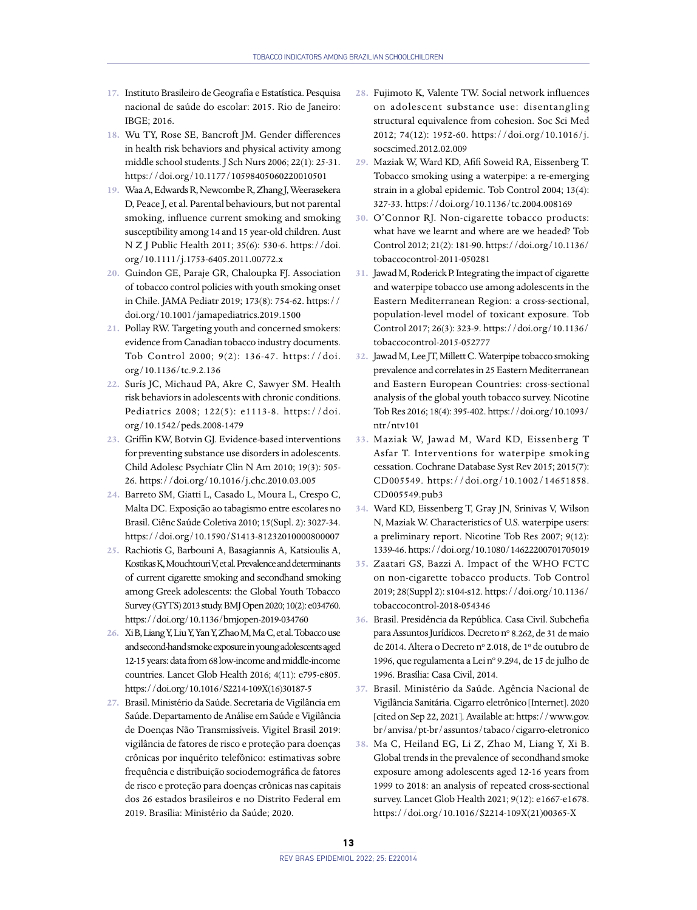- **17.** Instituto Brasileiro de Geografia e Estatística. Pesquisa nacional de saúde do escolar: 2015. Rio de Janeiro:  $IRGF: 2016$
- **18.** Wu TY, Rose SE, Bancroft JM. Gender differences in health risk behaviors and physical activity among middle school students. J Sch Nurs 2006; 22(1): 25-31. <https://doi.org/10.1177/10598405060220010501>
- **19.** Waa A, Edwards R, Newcombe R, Zhang J, [Weerasekera](https://pubmed.ncbi.nlm.nih.gov/?term=Weerasekera+D&cauthor_id=22151159) [D,](https://pubmed.ncbi.nlm.nih.gov/?term=Weerasekera+D&cauthor_id=22151159) [Peace J,](https://pubmed.ncbi.nlm.nih.gov/?term=Peace+J&cauthor_id=22151159) et al. Parental behaviours, but not parental smoking, influence current smoking and smoking susceptibility among 14 and 15 year-old children. Aust N Z J Public Health 2011; 35(6): 530-6. [https://doi.](https://doi.org/10.1111/j.1753-6405.2011.00772.x) [org/10.1111/j.1753-6405.2011.00772.x](https://doi.org/10.1111/j.1753-6405.2011.00772.x)
- **20.** Guindon GE, Paraje GR, Chaloupka FJ. Association of tobacco control policies with youth smoking onset in Chile. JAMA Pediatr 2019; 173(8): 754-62. [https://](https://doi.org/10.1001/jamapediatrics.2019.1500) [doi.org/10.1001/jamapediatrics.2019.1500](https://doi.org/10.1001/jamapediatrics.2019.1500)
- **21.** Pollay RW. Targeting youth and concerned smokers: evidence from Canadian tobacco industry documents. Tob Control 2000; 9(2): 136-47. [https://doi.](https://doi.org/10.1136/tc.9.2.136) [org/10.1136/tc.9.2.136](https://doi.org/10.1136/tc.9.2.136)
- **22.** Surís JC, Michaud PA, Akre C, Sawyer SM. Health risk behaviors in adolescents with chronic conditions. Pediatrics 2008; 122(5): e1113-8. [https://doi.](https://doi.org/10.1542/peds.2008-1479) [org/10.1542/peds.2008-1479](https://doi.org/10.1542/peds.2008-1479)
- **23.** Griffin KW, Botvin GJ. Evidence-based interventions for preventing substance use disorders in adolescents. Child Adolesc Psychiatr Clin N Am 2010; 19(3): 505- 26. <https://doi.org/10.1016/j.chc.2010.03.005>
- **24.** Barreto SM, Giatti L, Casado L, Moura L, Crespo C, Malta DC. Exposição ao tabagismo entre escolares no Brasil. Ciênc Saúde Coletiva 2010; 15(Supl. 2): 3027-34. <https://doi.org/10.1590/S1413-81232010000800007>
- **25.** Rachiotis G, Barbouni A, Basagiannis A, Katsioulis A, Kostikas K, Mouchtouri V, et al. Prevalence and determinants of current cigarette smoking and secondhand smoking among Greek adolescents: the Global Youth Tobacco Survey (GYTS) 2013 study. BMJ Open 2020; 10(2): e034760. <https://doi.org/10.1136/bmjopen-2019-034760>
- **26.** Xi B, Liang Y, Liu Y, Yan Y, Zhao M, Ma C, et al. Tobacco use and second-hand smoke exposure in young adolescents aged 12-15 years: data from 68 low-income and middle-income countries. Lancet Glob Health 2016; 4(11): e795-e805. [https://doi.org/10.1016/S2214-109X\(16\)30187-5](https://doi.org/10.1016/S2214-109X(16)30187-5)
- **27.** Brasil. Ministério da Saúde. Secretaria de Vigilância em Saúde. Departamento de Análise em Saúde e Vigilância de Doenças Não Transmissíveis. Vigitel Brasil 2019: vigilância de fatores de risco e proteção para doenças crônicas por inquérito telefônico: estimativas sobre frequência e distribuição sociodemográfica de fatores de risco e proteção para doenças crônicas nas capitais dos 26 estados brasileiros e no Distrito Federal em 2019. Brasília: Ministério da Saúde; 2020.
- **28.** Fujimoto K, Valente TW. Social network influences on adolescent substance use: disentangling structural equivalence from cohesion. Soc Sci Med 2012; 74(12): 1952-60. [https://doi.org/10.1016/j.](https://doi.org/10.1016/j.socscimed.2012.02.009) [socscimed.2012.02.009](https://doi.org/10.1016/j.socscimed.2012.02.009)
- **29.** Maziak W, Ward KD, Afifi Soweid RA, Eissenberg T. Tobacco smoking using a waterpipe: a re-emerging strain in a global epidemic. Tob Control 2004; 13(4): 327-33. <https://doi.org/10.1136/tc.2004.008169>
- **30.** O'Connor RJ. Non-cigarette tobacco products: what have we learnt and where are we headed? Tob Control 2012; 21(2): 181-90. [https://doi.org/10.1136/](https://doi.org/10.1136/tobaccocontrol-2011-050281) [tobaccocontrol-2011-050281](https://doi.org/10.1136/tobaccocontrol-2011-050281)
- **31.** Jawad M, Roderick P. Integrating the impact of cigarette and waterpipe tobacco use among adolescents in the Eastern Mediterranean Region: a cross-sectional, population-level model of toxicant exposure. Tob Control 2017; 26(3): 323-9. [https://doi.org/10.1136/](https://doi.org/10.1136/tobaccocontrol-2015-052777) [tobaccocontrol-2015-052777](https://doi.org/10.1136/tobaccocontrol-2015-052777)
- **32.** Jawad M, Lee JT, Millett C. Waterpipe tobacco smoking prevalence and correlates in 25 Eastern Mediterranean and Eastern European Countries: cross-sectional analysis of the global youth tobacco survey. Nicotine Tob Res 2016; 18(4): 395-402. [https://doi.org/10.1093/](https://doi.org/10.1093/ntr/ntv101) [ntr/ntv101](https://doi.org/10.1093/ntr/ntv101)
- **33.** Maziak W, Jawad M, Ward KD, Eissenberg T Asfar T. Interventions for waterpipe smoking cessation. Cochrane Database Syst Rev 2015; 2015(7): CD005549. [https://doi.org/10.1002/14651858.](https://doi.org/10.1002/14651858.CD005549.pub3) [CD005549.pub3](https://doi.org/10.1002/14651858.CD005549.pub3)
- **34.** Ward KD, Eissenberg T, Gray JN, Srinivas V, Wilson N, Maziak W. Characteristics of U.S. waterpipe users: a preliminary report. Nicotine Tob Res 2007; 9(12): 1339-46.<https://doi.org/10.1080/14622200701705019>
- **35.** Zaatari GS, Bazzi A. Impact of the WHO FCTC on non-cigarette tobacco products. Tob Control 2019; 28(Suppl 2): s104-s12. [https://doi.org/10.1136/](https://doi.org/10.1136/tobaccocontrol-2018-054346) [tobaccocontrol-2018-054346](https://doi.org/10.1136/tobaccocontrol-2018-054346)
- **36.** Brasil. Presidência da República. Casa Civil. Subchefia para Assuntos Jurídicos. Decreto nº 8.262, de 31 de maio de 2014. Altera o Decreto nº 2.018, de 1º de outubro de 1996, que regulamenta a Lei nº 9.294, de 15 de julho de 1996. Brasília: Casa Civil, 2014.
- **37.** Brasil. Ministério da Saúde. Agência Nacional de Vigilância Sanitária. Cigarro eletrônico [Internet]. 2020 [cited on Sep 22, 2021]. Available at: [https://www.gov.](https://www.gov.br/anvisa/pt-br/assuntos/tabaco/cigarro-eletronico) [br/anvisa/pt-br/assuntos/tabaco/cigarro-eletronico](https://www.gov.br/anvisa/pt-br/assuntos/tabaco/cigarro-eletronico)
- **38.** Ma C, Heiland EG, Li Z, Zhao M, Liang Y, Xi B. Global trends in the prevalence of secondhand smoke exposure among adolescents aged 12-16 years from 1999 to 2018: an analysis of repeated cross-sectional survey. Lancet Glob Health 2021; 9(12): e1667-e1678. [https://doi.org/10.1016/S2214-109X\(21\)00365-X](https://doi.org/10.1016/S2214-109X(21)00365-X)